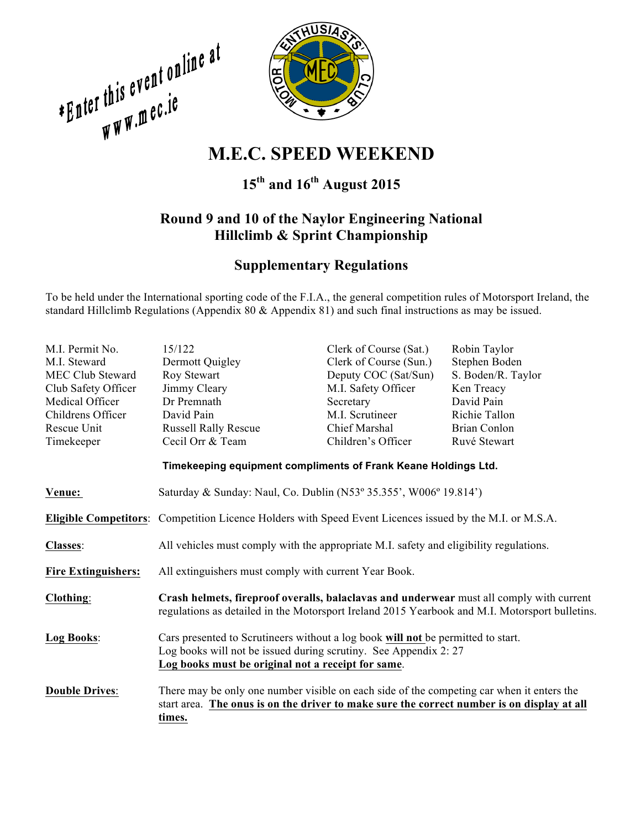**EQUALITY AND SERVE AND WEEKEND M.E.C. SPEED WEEKEND** 



# **15th and 16th August 2015**

## **Round 9 and 10 of the Naylor Engineering National Hillclimb & Sprint Championship**

### **Supplementary Regulations**

To be held under the International sporting code of the F.I.A., the general competition rules of Motorsport Ireland, the standard Hillclimb Regulations (Appendix 80 & Appendix 81) and such final instructions as may be issued.

| M.I. Permit No.                                                | 15/122                                                                                                                                                                                                    | Clerk of Course (Sat.) | Robin Taylor        |  |
|----------------------------------------------------------------|-----------------------------------------------------------------------------------------------------------------------------------------------------------------------------------------------------------|------------------------|---------------------|--|
| M.I. Steward                                                   | Dermott Quigley                                                                                                                                                                                           | Clerk of Course (Sun.) | Stephen Boden       |  |
| <b>MEC Club Steward</b>                                        | Roy Stewart                                                                                                                                                                                               | Deputy COC (Sat/Sun)   | S. Boden/R. Taylor  |  |
| Club Safety Officer                                            | Jimmy Cleary                                                                                                                                                                                              | M.I. Safety Officer    | Ken Treacy          |  |
| Medical Officer                                                | Dr Premnath                                                                                                                                                                                               | Secretary              | David Pain          |  |
| Childrens Officer                                              | David Pain                                                                                                                                                                                                | M.I. Scrutineer        | Richie Tallon       |  |
| Rescue Unit                                                    | <b>Russell Rally Rescue</b>                                                                                                                                                                               | Chief Marshal          | <b>Brian Conlon</b> |  |
| Timekeeper                                                     | Cecil Orr & Team                                                                                                                                                                                          | Children's Officer     | Ruvé Stewart        |  |
| Timekeeping equipment compliments of Frank Keane Holdings Ltd. |                                                                                                                                                                                                           |                        |                     |  |
| Venue:                                                         | Saturday & Sunday: Naul, Co. Dublin (N53° 35.355', W006° 19.814')                                                                                                                                         |                        |                     |  |
|                                                                | <b>Eligible Competitors:</b> Competition Licence Holders with Speed Event Licences issued by the M.I. or M.S.A.                                                                                           |                        |                     |  |
| <b>Classes:</b>                                                | All vehicles must comply with the appropriate M.I. safety and eligibility regulations.                                                                                                                    |                        |                     |  |
| <b>Fire Extinguishers:</b>                                     | All extinguishers must comply with current Year Book.                                                                                                                                                     |                        |                     |  |
| Clothing:                                                      | Crash helmets, fireproof overalls, balaclavas and underwear must all comply with current<br>regulations as detailed in the Motorsport Ireland 2015 Yearbook and M.I. Motorsport bulletins.                |                        |                     |  |
| Log Books:                                                     | Cars presented to Scrutineers without a log book will not be permitted to start.<br>Log books will not be issued during scrutiny. See Appendix 2:27<br>Log books must be original not a receipt for same. |                        |                     |  |
| <b>Double Drives:</b>                                          | There may be only one number visible on each side of the competing car when it enters the<br>start area. The onus is on the driver to make sure the correct number is on display at all<br>times.         |                        |                     |  |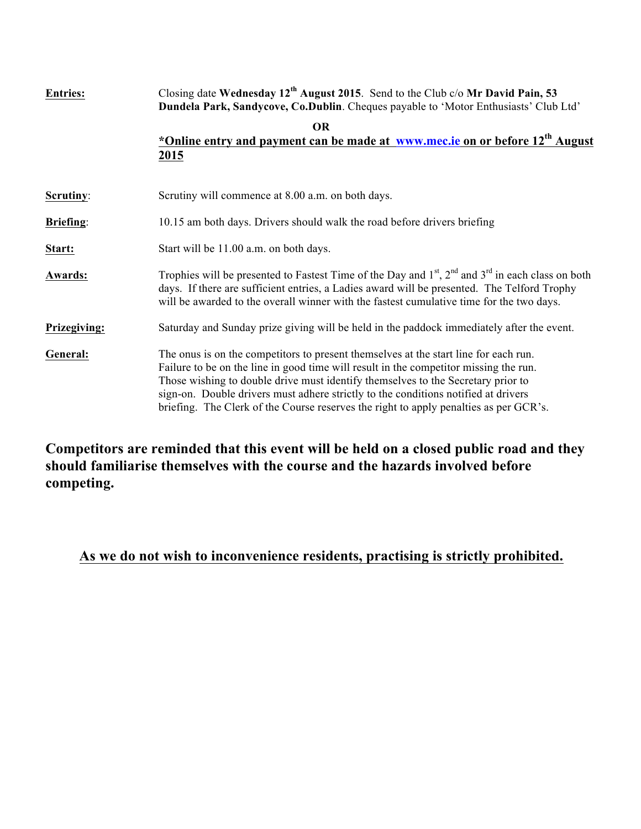| <b>Entries:</b>  | Closing date Wednesday $12^{th}$ August 2015. Send to the Club c/o Mr David Pain, 53<br>Dundela Park, Sandycove, Co.Dublin. Cheques payable to 'Motor Enthusiasts' Club Ltd'                                                                                                                                                                                                                                                                     |  |
|------------------|--------------------------------------------------------------------------------------------------------------------------------------------------------------------------------------------------------------------------------------------------------------------------------------------------------------------------------------------------------------------------------------------------------------------------------------------------|--|
|                  | <b>OR</b><br>*Online entry and payment can be made at www.mec.ie on or before 12 <sup>th</sup> August<br>2015                                                                                                                                                                                                                                                                                                                                    |  |
| Scrutiny:        | Scrutiny will commence at 8.00 a.m. on both days.                                                                                                                                                                                                                                                                                                                                                                                                |  |
| <b>Briefing:</b> | 10.15 am both days. Drivers should walk the road before drivers briefing                                                                                                                                                                                                                                                                                                                                                                         |  |
| Start:           | Start will be 11.00 a.m. on both days.                                                                                                                                                                                                                                                                                                                                                                                                           |  |
| <b>Awards:</b>   | Trophies will be presented to Fastest Time of the Day and $1st$ , $2nd$ and $3rd$ in each class on both<br>days. If there are sufficient entries, a Ladies award will be presented. The Telford Trophy<br>will be awarded to the overall winner with the fastest cumulative time for the two days.                                                                                                                                               |  |
| Prizegiving:     | Saturday and Sunday prize giving will be held in the paddock immediately after the event.                                                                                                                                                                                                                                                                                                                                                        |  |
| General:         | The onus is on the competitors to present themselves at the start line for each run.<br>Failure to be on the line in good time will result in the competitor missing the run.<br>Those wishing to double drive must identify themselves to the Secretary prior to<br>sign-on. Double drivers must adhere strictly to the conditions notified at drivers<br>briefing. The Clerk of the Course reserves the right to apply penalties as per GCR's. |  |

**Competitors are reminded that this event will be held on a closed public road and they should familiarise themselves with the course and the hazards involved before competing.**

## **As we do not wish to inconvenience residents, practising is strictly prohibited.**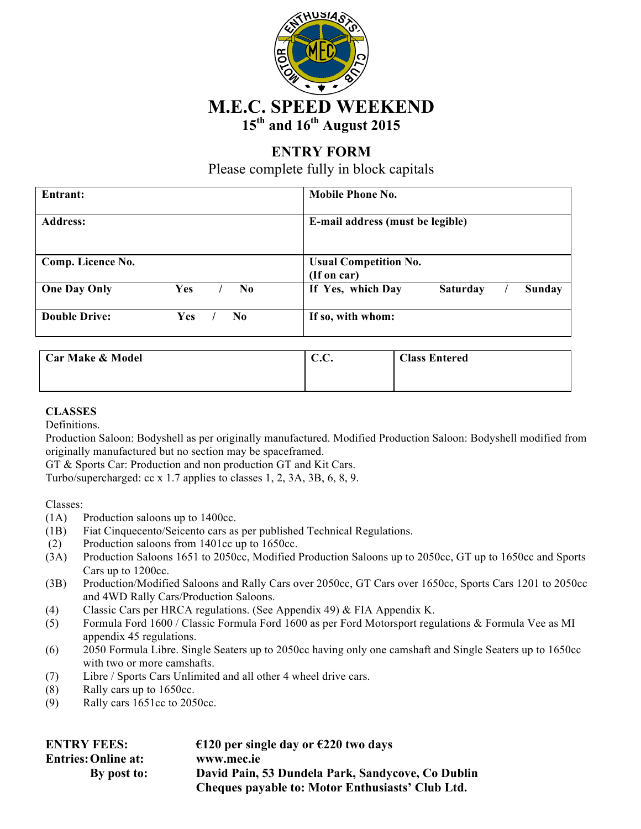

## **ENTRY FORM**

Please complete fully in block capitals

| Entrant:             |     |     | <b>Mobile Phone No.</b>                        |  |  |
|----------------------|-----|-----|------------------------------------------------|--|--|
| <b>Address:</b>      |     |     | E-mail address (must be legible)               |  |  |
| Comp. Licence No.    |     |     | <b>Usual Competition No.</b><br>(If on car)    |  |  |
| <b>One Day Only</b>  | Yes | No  | If Yes, which Day<br><b>Saturday</b><br>Sunday |  |  |
| <b>Double Drive:</b> | Yes | No. | If so, with whom:                              |  |  |

| <b>Car Make &amp; Model</b> | $\cap$ $\cap$<br>U.U. | <b>Class Entered</b> |
|-----------------------------|-----------------------|----------------------|
|                             |                       |                      |
|                             |                       |                      |
|                             |                       |                      |
|                             |                       |                      |

#### **CLASSES**

Definitions.

Production Saloon: Bodyshell as per originally manufactured. Modified Production Saloon: Bodyshell modified from originally manufactured but no section may be spaceframed.

GT & Sports Car: Production and non production GT and Kit Cars.

Turbo/supercharged: cc x 1.7 applies to classes 1, 2, 3A, 3B, 6, 8, 9.

Classes:

- (1A) Production saloons up to 1400cc.
- (1B) Fiat Cinquecento/Seicento cars as per published Technical Regulations.
- (2) Production saloons from 1401cc up to 1650cc.
- (3A) Production Saloons 1651 to 2050cc, Modified Production Saloons up to 2050cc, GT up to 1650cc and Sports Cars up to 1200cc.
- (3B) Production/Modified Saloons and Rally Cars over 2050cc, GT Cars over 1650cc, Sports Cars 1201 to 2050cc and 4WD Rally Cars/Production Saloons.
- (4) Classic Cars per HRCA regulations. (See Appendix 49) & FIA Appendix K.
- (5) Formula Ford 1600 / Classic Formula Ford 1600 as per Ford Motorsport regulations & Formula Vee as MI appendix 45 regulations.
- (6) 2050 Formula Libre. Single Seaters up to 2050cc having only one camshaft and Single Seaters up to 1650cc with two or more camshafts.
- (7) Libre / Sports Cars Unlimited and all other 4 wheel drive cars.
- (8) Rally cars up to 1650cc.
- (9) Rally cars 1651cc to 2050cc.

| <b>ENTRY FEES:</b>         | €120 per single day or €220 two days              |
|----------------------------|---------------------------------------------------|
| <b>Entries: Online at:</b> | www.mec.ie                                        |
| By post to:                | David Pain, 53 Dundela Park, Sandycove, Co Dublin |
|                            | Cheques payable to: Motor Enthusiasts' Club Ltd.  |